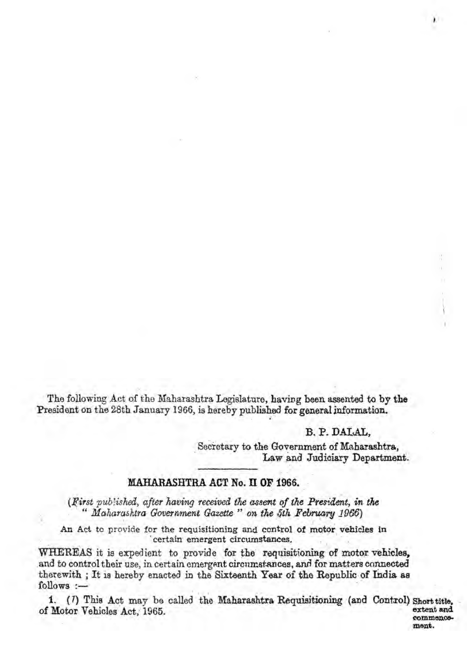The following Act of the Maharashtra Legislature, having been assented to by the President on the 28th January 1966, is hereby published for general information.

## B. P. DALAL.

ment.

Secretary to the Government of Maharashtra. Law and Judiciary Department.

## MAHARASHTRA ACT No. II OF 1966.

(First published, after having received the assent of the President, in the Maharashtra Government Gazette" on the 5th February 1966)

An Act to provide for the requisitioning and control of motor vehicles in certain emergent circumstances.

WHEREAS it is expedient to provide for the requisitioning of motor vehicles. and to control their use, in certain emergent circumstances, and for matters connected therewith; It is hereby enacted in the Sixteenth Year of the Republic of India as  $follows$   $-$ 

1. (7) This Act may be called the Maharashtra Requisitioning (and Control) Short title. of Motor Vehicles Act. 1965. extent and commence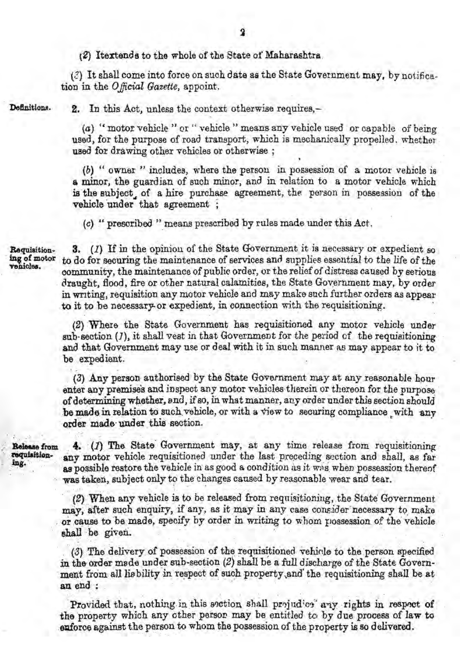$(2)$  Itextends to the whole of the State of Maharashtra.

 $(2)$  It shall come into force on such date as the State Government may. by notification in the *Official Gazette*, appoint.

Dafinitions.

2. In this Act, unless the context otherwise requires,-

(a) "motor vehicle " or " vehicle " means any vehicle used or capable of being used, for the purpose of road transport, which is mechanically propelled, whether used for drawing other vehicles or otherwise;

*(b)* " owner" includes, where the person in possession of a motor vehicle is a minor, the guardian of such minor, and in relation to a motor vehicle which is the subject of a hire purchase agreement, the person in possession of the vehicle under that agreement ;

 $(c)$  " prescribed " means prescribed by rules made under this Act.

Bequiaitioning of motor

3. (*I*) If in the opinion of the State Government it is necessary or expedient so to do for securing the maintenance of services and supplies essential to the life of the community, the maintenance of public order, or the relief of distress caused by serious draught, flood, fire or *other* natural calamities, the State Government may, by order in writing, requisition any motor vehicle and may make such further orders as appear to it to be necessary or expedient, in connection with the requisitioning.

(2) Where the State Government has requisitioned any motor vebicle under sub. section (1). it shall vest in that Government for the period of the requisitioning and that Government may use or deal with it in such manner as may appear to it to be expedient.

(3) Any person authorised by the State Government may at any reasonable hour enter any premises and inspect any motor vehicles therein or thereon for the purpose of determining whether, and, if so, in what manner, any order under this section should be made in relation to such vehicle, or with a view to securing compliance with any order made under this section.

**Release from 4.** (*I*) The State Government may, at any time release from requisitioning requisitioning  $\frac{1}{2}$ requisition-<br>ing. ... any motor vehicle requisitioned under the last proceding section and shall, as far as possible restore the vehicle in as good a condition as it was when possession thereof was taken, subject only to the changes caused by reasonable wear and tear.

> $(2)$  When any vehicle is to be released from requisitioning, the State Government may, after such enquiry, if any, as it may in any case consider necessary to make or cause to be made, specify by order in writing to whom possession of the vehicle shall be given.

> (3) The delivery of possession of the requisitioned vehicle to the person specified in the order made under sub-section  $(2)$  shall be a full discharge of the State Government from all lisbility in respect of such property, and the requisitioning shall be at an end :

> Provided that, nothing in this section shall projudice any rights in respect of the property which any other person may be entitled to by due process of law to euforce against the person to whom the possession of the property is so delivered.

. .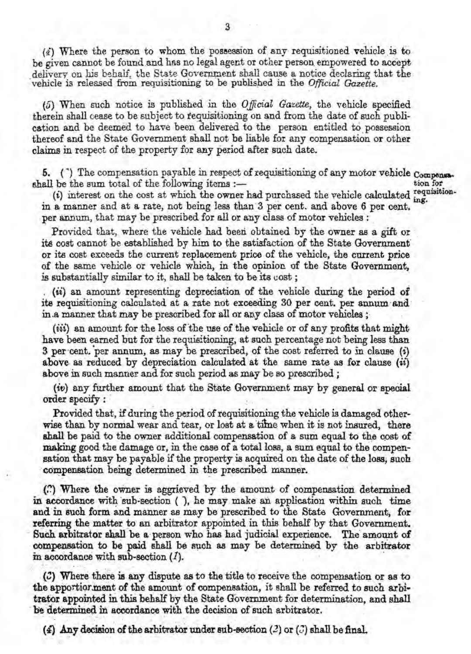(*i*) Where the person to whom the possession of any requisitioned vehicle is to be given cannot be found and has no legal agent or other person empowered to accept delivery on his behalf, the State Government shall cause a notice declaring that the -vehicle is released from requisitioning to be published in the *Official Gazette.* .

(5) When. such notice is published in the *Official* Gazette, the vehicle specified therein shall cease to be subject to requisitioning on and from the date of such publication and be deemed to have been delivered to the person entitled to possession thereof and the State Government shall not be liable for any compensation or other claims in respect of the property for any period after such date.

5. ( $\degree$ ) The compensation payable in respect of requisitioning of any motor vehicle Compensational be the sum total of the following items :shall be the sum total of the following items :- tion for the sum total of the following items :-

 $(i)$  interest on the cost at which the owner had purchased the vehicle calculated  $\lim_{n \to \infty}$ in a manner and at a rate, not being less than 3 per cent. and above 6 per cent. per annum, that may be prescribed for all or any class of motor vehicles:

Provided that, where the vehicle had been obtained by the owner as a gift or ita cost cannot be established by him to the satisfaction of the State Governmentor its coat exceeds the current replac{\!Dentprice of the vehicle. the current price of the same vehicle or vehicle which, in the opinion of the State Government, is substantially similar to it, shall be taken to be its  $cost$ ;

. *(ii)* an amount representing depreciation of the vehicle during the period of its requisitioning calculated at a rate not exceeding 30 per cent. per annum and in.a manner that may be prescribed for all or any class of motor vehicles;

*(iii)* an amount for the loss of the use of the vehicle or of any profits that might have been earned but for the requisitioning, at such percentage not-being less than 3 per cent. per annum, as may be prescribed, of the cost referred to in clause (i) above as reduced by depreciation calculated at the same rate as for clause *(ii)* above in such manner and for such period as may be so prescribed;

(*iv*) any further amount that the State Government may by general or special order specify : order specify:: ... .

Provided that, if during the period of requisitioning the vehicle is damaged otherwise than by normal wear and tear, or lost at a time when it is not insured, there shall be paid to the owner additional compensation of a sum equal to the cost of making good the damage or, in the case of a total loss, a sum equal to the compensation that may be payable if the property is acquired on the date of the loss, such compensation being determined in the prescribed manner.

-co]Jlpenas.tionbeing determined iD.t~e prescribed manner. '. (~) Where the oWneris aggrieved by the amount of compensationderennmed in accordance with sub-section ( ), he may make an application within such time and in such form and manner as may be prescribed to the State Government, for referring the matter to an arbitrator appointed in this behalf by that Government. Such arbitrator shall be a person who has had judicial experience. The amount of compensation to be paid shall be such as may be determined by the arbitrator in accordance with sub-section  $(I)$ .

 $\langle \mathcal{C} \rangle$  Where there is any dispute as to the title to receive the compensation or as to the apportior ment of the amount of compensation, it shall be referred to such arbitrator appointed in this behalf by the State Government for determination, and shall be determined in accordance with the decision of such arbitrator. . . . .

(4) Any decision of the arbitrator under sub-section (2) or  $(3)$  shall be final.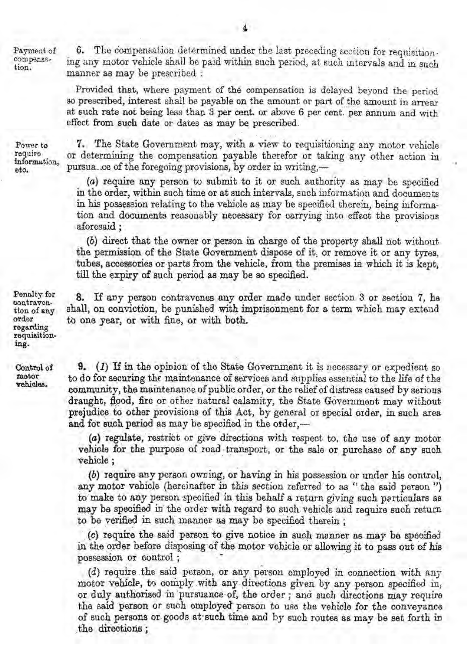Payment of compensation.

The compensation determined under the last preceding section for requisition-6. ing any motor vehicle shall be paid within such period, at such intervals and in such manner as may be prescribed :

Provided that, where payment of the compensation is delayed beyond the period so prescribed, interest shall be payable on the amount or part of the amount in arrear at such rate not being less than 3 per cent, or above 6 per cent, per annum and with effect from such date or dates as may be prescribed.

Power to require information, eto.

7. The State Government may, with a view to requisitioning any motor vehicle or determining the compensation payable therefor or taking any other action in pursua..ce of the foregoing provisions, by order in writing,-

(a) require any person to submit to it or such authority as may be specified in the order, within such time or at such intervals, such information and documents in his possession relating to the vehicle as may be specified therein, being information and documents reasonably necessary for carrying into effect the provisions aforesaid:

(b) direct that the owner or person in charge of the property shall not without the permission of the State Government dispose of it, or remove it or any tyres. tubes, accessories or parts from the vehicle, from the premises in which it is kept, till the expiry of such period as may be so specified.

8. If any person contravenes any order made under section 3 or section 7, he shall, on conviction, be punished with imprisonment for a term which may extend to one year, or with fine, or with both.

**9.** (*I*) If in the opinion of the State Government it is necessary or expedient so to do for securing the maintenance of services and supplies essential to the life of the community, the maintenance of public order, or the relief of distress caused by serious draught, flood, fire or other natural calamity, the State Government may without prejudice to other provisions of this Act, by general or special order, in such area and for such period as may be specified in the order,-

(a) regulate, restrict or give directions with respect to, the use of any motor vehicle for the purpose of road transport, or the sale or purchase of any such vehicle ;

(b) require any person owning, or having in his possession or under his control, any motor vehicle (hereinafter in this section referred to as "the said person") to make to any person specified in this behalf a return giving such perticulars as may be specified in the order with regard to such vehicle and require such return to be verified in such manner as may be specified therein;

(c) require the said person to give notice in such manner as may be specified in the order before disposing of the motor vehicle or allowing it to pass out of his possession or control;

 $(d)$  require the said person, or any person employed in connection with any motor vehicle, to comply with any directions given by any person specified in, or duly authorised in pursuance of, the order; and such directions may require the said person or such employed person to use the vehicle for the conveyance of such persons or goods at such time and by such routes as may be set forth in the directions;

Penalty for contravention of any order regarding requisitioning.

Control of motor vehicles.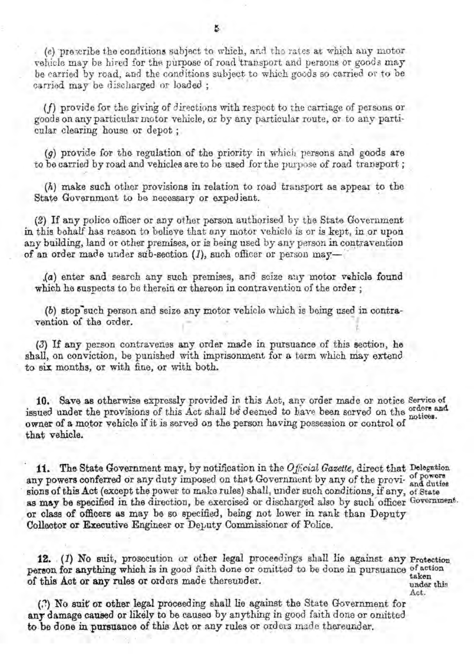*(e)* prescribe the conditions subject to which, and the rates at which any motor vehicle may be hired for the nurpose of road transport and persons or goods may be carried by road, and the conditions subject. to which goods so carried or to he carried may be discharged or loaded ;

(f) provide for the giving of directions with respect to the carriage of persons or goods on any particular motor vehicle, or by any particular route, or to any particular clearing house or depot:

 $(q)$  provide for the regulation of the priority in which persons and goods are to be carried by road and vehicles are to be used for the purpose of road transport;

*(h)* make such other provisions in relation to road transport as appear to the State Government to be necessary or expedient.

(2) If any police officer or any other person authorised by the State Government in this behalf has reason to believe that any motor vehicle is or is kept, in or upon any building, land or other premises, or is being used by any person in contravention of an order made under sub-section  $(I)$ , such officer or person may-

*(a)* enter and search any such premises, and seize any motor vehicle found which he suspects to be therein or thereon in contravention of the order ;

(b) stop-such person and seize any motor vehicle which is being used in contravention of the order.

(3) If any person contravenes any order made in pursuance of this section, he shall, on conviction, be punished with imprisonment for a term which may extend to six months, or with fine, or with both.

10. Save as otherwise expressly provided in this Act, any order made or notice Service of issued under the provisions of this Act shall be deemed to have been scryed on the orders and owner of a motor vehicle if it is served on the person having possession or control of that vehicle.

11. The State Government may, by notification in the Official Gazette, direct that Delegation any powers conferred or any duty imposed on that Government by any of the provi- and duties sions of this Act (except the power to make rules) shall, under such conditions, if any, of State as may be specified in the direction, be exercised or discharged also by such officer Government. or class of officers as may be so specified, being not lower in rank than Deputy Collector or Executive Engineer or Deputy Commissioner of Police.

12.  $(1)$  No suit, prosecution or other legal proceedings shall lie against any Protection person for anything which is in good faith done or omitted to be done in pursuance of action of this Act or any rules or ordors made thereunder.<br>write with the under this contract the deterministic deterministic deterministic deterministic deterministic deterministic deterministic deterministic deterministic deter

. , . .. Act. (:?) Noauit' or otherlegalprooeeding shall lie againatthe State Government for any damage caused or likely to be caused by anything in good faith done or omitted to be done in pursuance of this Act or any rules or orders made thereunder.